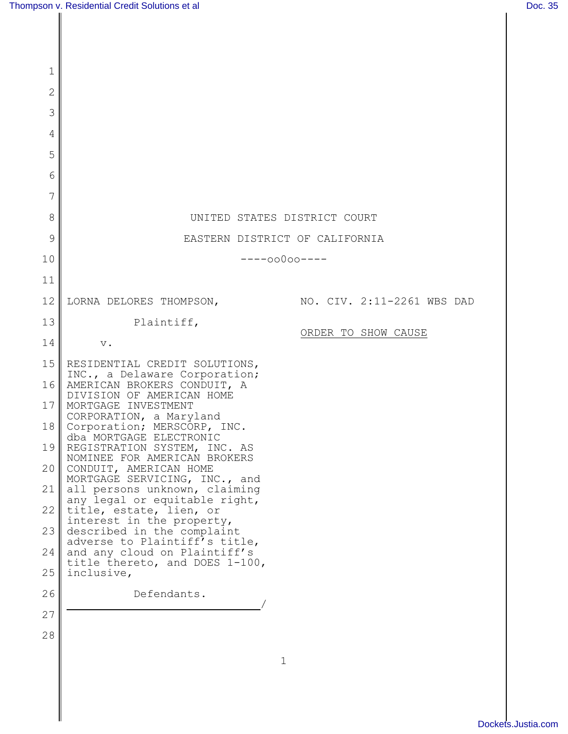| 1                                                                                              |                                                                                                                                                                                                                                                                                                                                                                                                                                                                                                                                                                                                                                                           |                            |
|------------------------------------------------------------------------------------------------|-----------------------------------------------------------------------------------------------------------------------------------------------------------------------------------------------------------------------------------------------------------------------------------------------------------------------------------------------------------------------------------------------------------------------------------------------------------------------------------------------------------------------------------------------------------------------------------------------------------------------------------------------------------|----------------------------|
| $\overline{2}$                                                                                 |                                                                                                                                                                                                                                                                                                                                                                                                                                                                                                                                                                                                                                                           |                            |
| 3                                                                                              |                                                                                                                                                                                                                                                                                                                                                                                                                                                                                                                                                                                                                                                           |                            |
| 4                                                                                              |                                                                                                                                                                                                                                                                                                                                                                                                                                                                                                                                                                                                                                                           |                            |
| 5                                                                                              |                                                                                                                                                                                                                                                                                                                                                                                                                                                                                                                                                                                                                                                           |                            |
| 6                                                                                              |                                                                                                                                                                                                                                                                                                                                                                                                                                                                                                                                                                                                                                                           |                            |
| 7                                                                                              |                                                                                                                                                                                                                                                                                                                                                                                                                                                                                                                                                                                                                                                           |                            |
| 8                                                                                              | UNITED STATES DISTRICT COURT                                                                                                                                                                                                                                                                                                                                                                                                                                                                                                                                                                                                                              |                            |
| 9                                                                                              | EASTERN DISTRICT OF CALIFORNIA                                                                                                                                                                                                                                                                                                                                                                                                                                                                                                                                                                                                                            |                            |
| 10                                                                                             | $---00000---$                                                                                                                                                                                                                                                                                                                                                                                                                                                                                                                                                                                                                                             |                            |
| 11                                                                                             |                                                                                                                                                                                                                                                                                                                                                                                                                                                                                                                                                                                                                                                           |                            |
| 12                                                                                             | LORNA DELORES THOMPSON,                                                                                                                                                                                                                                                                                                                                                                                                                                                                                                                                                                                                                                   | NO. CIV. 2:11-2261 WBS DAD |
| 13                                                                                             | Plaintiff,                                                                                                                                                                                                                                                                                                                                                                                                                                                                                                                                                                                                                                                | ORDER TO SHOW CAUSE        |
| 14                                                                                             | $\mathbf v$ .                                                                                                                                                                                                                                                                                                                                                                                                                                                                                                                                                                                                                                             |                            |
| 15<br>16<br>17 <sup>1</sup><br>18 <sup>1</sup><br>19<br>20<br>21<br>22<br>23<br>24<br>25<br>26 | RESIDENTIAL CREDIT SOLUTIONS,<br>INC., a Delaware Corporation;<br>AMERICAN BROKERS CONDUIT, A<br>DIVISION OF AMERICAN HOME<br>MORTGAGE INVESTMENT<br>CORPORATION, a Maryland<br>Corporation; MERSCORP, INC.<br>dba MORTGAGE ELECTRONIC<br>REGISTRATION SYSTEM, INC. AS<br>NOMINEE FOR AMERICAN BROKERS<br>CONDUIT, AMERICAN HOME<br>MORTGAGE SERVICING, INC., and<br>all persons unknown, claiming<br>any legal or equitable right,<br>title, estate, lien, or<br>interest in the property,<br>described in the complaint<br>adverse to Plaintiff's title,<br>and any cloud on Plaintiff's<br>title thereto, and DOES 1-100,<br>inclusive,<br>Defendants. |                            |
| 27                                                                                             |                                                                                                                                                                                                                                                                                                                                                                                                                                                                                                                                                                                                                                                           |                            |
| 28                                                                                             |                                                                                                                                                                                                                                                                                                                                                                                                                                                                                                                                                                                                                                                           |                            |
|                                                                                                | $\mathbf{1}$                                                                                                                                                                                                                                                                                                                                                                                                                                                                                                                                                                                                                                              |                            |
|                                                                                                |                                                                                                                                                                                                                                                                                                                                                                                                                                                                                                                                                                                                                                                           |                            |